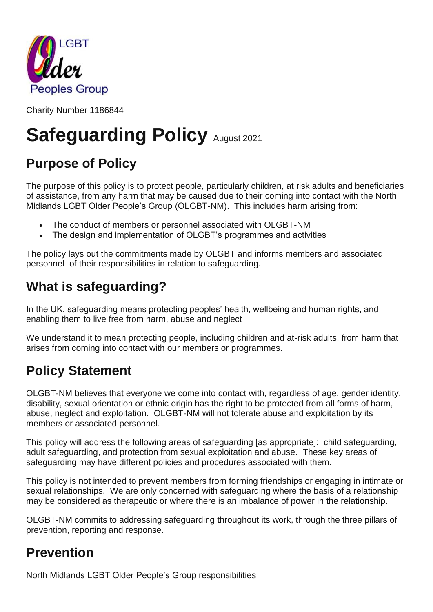

Charity Number 1186844

# **Safeguarding Policy August 2021**

# **Purpose of Policy**

The purpose of this policy is to protect people, particularly children, at risk adults and beneficiaries of assistance, from any harm that may be caused due to their coming into contact with the North Midlands LGBT Older People's Group (OLGBT-NM). This includes harm arising from:

- The conduct of members or personnel associated with OLGBT-NM
- The design and implementation of OLGBT's programmes and activities

The policy lays out the commitments made by OLGBT and informs members and associated personnel of their responsibilities in relation to safeguarding.

### **What is safeguarding?**

In the UK, safeguarding means protecting peoples' health, wellbeing and human rights, and enabling them to live free from harm, abuse and neglect

We understand it to mean protecting people, including children and at-risk adults, from harm that arises from coming into contact with our members or programmes.

### **Policy Statement**

OLGBT-NM believes that everyone we come into contact with, regardless of age, gender identity, disability, sexual orientation or ethnic origin has the right to be protected from all forms of harm, abuse, neglect and exploitation. OLGBT-NM will not tolerate abuse and exploitation by its members or associated personnel.

This policy will address the following areas of safeguarding [as appropriate]: child safeguarding, adult safeguarding, and protection from sexual exploitation and abuse. These key areas of safeguarding may have different policies and procedures associated with them.

This policy is not intended to prevent members from forming friendships or engaging in intimate or sexual relationships. We are only concerned with safeguarding where the basis of a relationship may be considered as therapeutic or where there is an imbalance of power in the relationship.

OLGBT-NM commits to addressing safeguarding throughout its work, through the three pillars of prevention, reporting and response.

### **Prevention**

North Midlands LGBT Older People's Group responsibilities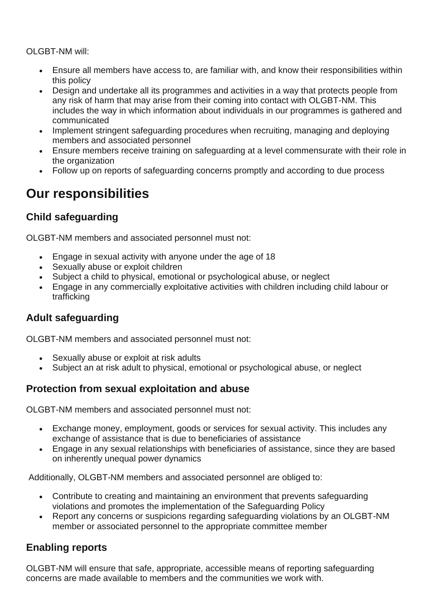OLGBT-NM will:

- Ensure all members have access to, are familiar with, and know their responsibilities within this policy
- Design and undertake all its programmes and activities in a way that protects people from any risk of harm that may arise from their coming into contact with OLGBT-NM. This includes the way in which information about individuals in our programmes is gathered and communicated
- Implement stringent safeguarding procedures when recruiting, managing and deploying members and associated personnel
- Ensure members receive training on safeguarding at a level commensurate with their role in the organization
- Follow up on reports of safeguarding concerns promptly and according to due process

### **Our responsibilities**

#### **Child safeguarding**

OLGBT-NM members and associated personnel must not:

- Engage in sexual activity with anyone under the age of 18
- Sexually abuse or exploit children
- Subject a child to physical, emotional or psychological abuse, or neglect
- Engage in any commercially exploitative activities with children including child labour or trafficking

#### **Adult safeguarding**

OLGBT-NM members and associated personnel must not:

- Sexually abuse or exploit at risk adults
- Subject an at risk adult to physical, emotional or psychological abuse, or neglect

#### **Protection from sexual exploitation and abuse**

OLGBT-NM members and associated personnel must not:

- Exchange money, employment, goods or services for sexual activity. This includes any exchange of assistance that is due to beneficiaries of assistance
- Engage in any sexual relationships with beneficiaries of assistance, since they are based on inherently unequal power dynamics

Additionally, OLGBT-NM members and associated personnel are obliged to:

- Contribute to creating and maintaining an environment that prevents safeguarding violations and promotes the implementation of the Safeguarding Policy
- Report any concerns or suspicions regarding safeguarding violations by an OLGBT-NM member or associated personnel to the appropriate committee member

#### **Enabling reports**

OLGBT-NM will ensure that safe, appropriate, accessible means of reporting safeguarding concerns are made available to members and the communities we work with.